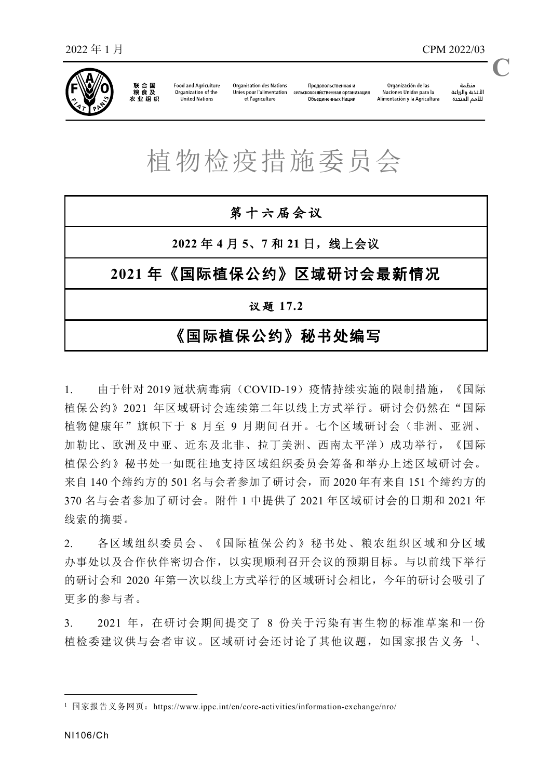

联合国<br>粮食及 农业组织

**Food and Agriculture** Organization of the United Nations

**Organisation des Nation:** Unies nour l'alimentation et l'agriculture

Продовольственная и сельскохозяйственная организация Объединенных Наций

منظمة سيسة<br>الأغذية والزراعة<br>للأمم المتددة **C**

## 植物检疫措施委员会

| 第十六届会议                 |  |  |  |  |  |
|------------------------|--|--|--|--|--|
| 2022年4月5、7和21日, 线上会议   |  |  |  |  |  |
| 2021年《国际植保公约》区域研讨会最新情况 |  |  |  |  |  |
| 议题 17.2                |  |  |  |  |  |
| 《国际植保公约》秘书处编写          |  |  |  |  |  |

1. 由于针对 2019 冠状病毒病(COVID-19)疫情持续实施的限制措施,《国际 植保公约》2021 年区域研讨会连续第二年以线上方式举行。研讨会仍然在"国际 植物健康年"旗帜下于 8 月至 9 月期间召开。七个区域研讨会(非洲、亚洲、 加勒比、欧洲及中亚、近东及北非、拉丁美洲、西南太平洋)成功举行,《国际 植保公约》秘书处一如既往地支持区域组织委员会筹备和举办上述区域研讨会。 来自 140 个缔约方的 501 名与会者参加了研讨会,而 2020 年有来自 151 个缔约方的 370 名与会者参加了研讨会。附件 1 中提供了 2021 年区域研讨会的日期和 2021 年 线索的摘要。

2. 各区域组织委员会、《国际植保公约》秘书处、粮农组织区域和分区域 办事处以及合作伙伴密切合作,以实现顺利召开会议的预期目标。与以前线下举行 的研讨会和 2020 年第一次以线上方式举行的区域研讨会相比,今年的研讨会吸引了 更多的参与者。

3. 2021 年,在研讨会期间提交了 8 份关于污染有害生物的标准草案和一份 植检委建议供与会者审议。区域研讨会还讨论了其他议题,[如国家报告义务](https://www.ippc.int/en/publications/88623/) [1](https://www.ippc.int/en/publications/88623/)、

<span id="page-0-0"></span><sup>&</sup>lt;sup>1</sup> 国家报告义务网页: <https://www.ippc.int/en/core-activities/information-exchange/nro/>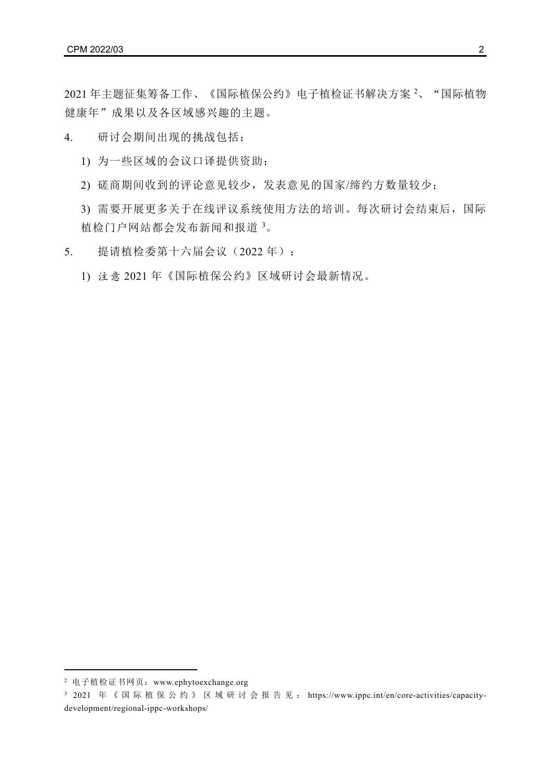[2021](https://www.ippc.int/en/publications/88621/)[年主题征集筹备工作、](https://www.ippc.int/en/publications/88621/)[《国际植保公约》电子植检证书解](https://www.ippc.int/en/ephyto/)决方案 [2](#page-1-0)、"国际植物 健康年"成果以及各区域感兴趣的主题。

4. 研讨会期间出现的挑战包括:

1) 为一些区域的会议口译提供资助;

2) 磋商期间收到的评论意见较少,发表意见的国家/缔约方数量较少;

3) 需要开展更多关于在线评议系统使用方法的培训。每次研讨会结束后,国际 植检门户网站都会发布新闻和报道 [3](#page-1-1)。

5. 提请植检委第十六届会议(2022 年):

1) 注意 2021 年《国际植保公约》区域研讨会最新情况。

<span id="page-1-0"></span><sup>2</sup> 电子植检证书网页:[www.ephytoexchange.org](http://www.ephytoexchange.org/)

<span id="page-1-1"></span><sup>3 2021</sup> 年《国际植保公约》区域研讨会报告见: [https://www.ippc.int/en/core-activities/capacity](https://www.ippc.int/en/core-activities/capacity-development/regional-ippc-workshops/)[development/regional-ippc-workshops/](https://www.ippc.int/en/core-activities/capacity-development/regional-ippc-workshops/)